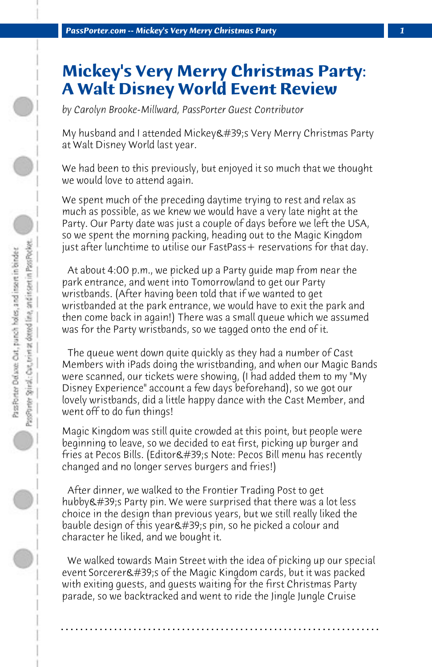## **Mickey's Very Merry Christmas Party: A Walt Disney World Event Review**

*by Carolyn Brooke-Millward, PassPorter Guest Contributor*

My husband and I attended Mickey &  $\#39$ ; Yery Merry Christmas Party at Walt Disney World last year.

We had been to this previously, but enjoyed it so much that we thought we would love to attend again.

We spent much of the preceding daytime trying to rest and relax as much as possible, as we knew we would have a very late night at the Party. Our Party date was just a couple of days before we left the USA, so we spent the morning packing, heading out to the Magic Kingdom just after lunchtime to utilise our FastPass + reservations for that day.

 At about 4:00 p.m., we picked up a Party guide map from near the park entrance, and went into Tomorrowland to get our Party wristbands. (After having been told that if we wanted to get wristbanded at the park entrance, we would have to exit the park and then come back in again!) There was a small queue which we assumed was for the Party wristbands, so we tagged onto the end of it.

 The queue went down quite quickly as they had a number of Cast Members with iPads doing the wristbanding, and when our Magic Bands were scanned, our tickets were showing, (I had added them to my "My Disney Experience" account a few days beforehand), so we got our lovely wristbands, did a little happy dance with the Cast Member, and went off to do fun things!

Magic Kingdom was still quite crowded at this point, but people were beginning to leave, so we decided to eat first, picking up burger and fries at Pecos Bills. (Editor's Note: Pecos Bill menu has recently changed and no longer serves burgers and fries!)

 After dinner, we walked to the Frontier Trading Post to get hubby & #39;s Party pin. We were surprised that there was a lot less choice in the design than previous years, but we still really liked the bauble design of this year  $\'$ ; pin, so he picked a colour and character he liked, and we bought it.

 We walked towards Main Street with the idea of picking up our special event Sorcerer's of the Magic Kingdom cards, but it was packed with exiting guests, and guests waiting for the first Christmas Party parade, so we backtracked and went to ride the Jingle Jungle Cruise

**. . . . . . . . . . . . . . . . . . . . . . . . . . . . . . . . . . . . . . . . . . . . . . . . . . . . . . . . . . . . . . . . . .**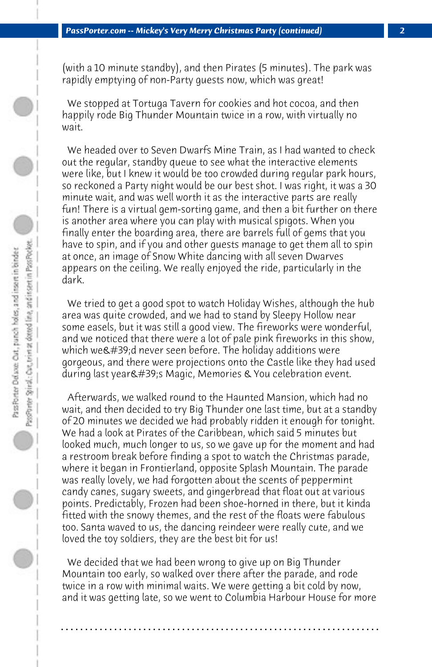(with a 10 minute standby), and then Pirates (5 minutes). The park was rapidly emptying of non-Party guests now, which was great!

 We stopped at Tortuga Tavern for cookies and hot cocoa, and then happily rode Big Thunder Mountain twice in a row, with virtually no wait.

 We headed over to Seven Dwarfs Mine Train, as I had wanted to check out the regular, standby queue to see what the interactive elements were like, but I knew it would be too crowded during regular park hours, so reckoned a Party night would be our best shot. I was right, it was a 30 minute wait, and was well worth it as the interactive parts are really fun! There is a virtual gem-sorting game, and then a bit further on there is another area where you can play with musical spigots. When you finally enter the boarding area, there are barrels full of gems that you have to spin, and if you and other guests manage to get them all to spin at once, an image of Snow White dancing with all seven Dwarves appears on the ceiling. We really enjoyed the ride, particularly in the dark.

 We tried to get a good spot to watch Holiday Wishes, although the hub area was quite crowded, and we had to stand by Sleepy Hollow near some easels, but it was still a good view. The fireworks were wonderful, and we noticed that there were a lot of pale pink fireworks in this show, which we  $\#39$ ; dnever seen before. The holiday additions were gorgeous, and there were projections onto the Castle like they had used during last year & #39; s Magic, Memories & You celebration event.

 Afterwards, we walked round to the Haunted Mansion, which had no wait, and then decided to try Big Thunder one last time, but at a standby of 20 minutes we decided we had probably ridden it enough for tonight. We had a look at Pirates of the Caribbean, which said 5 minutes but looked much, much longer to us, so we gave up for the moment and had a restroom break before finding a spot to watch the Christmas parade, where it began in Frontierland, opposite Splash Mountain. The parade was really lovely, we had forgotten about the scents of peppermint candy canes, sugary sweets, and gingerbread that float out at various points. Predictably, Frozen had been shoe-horned in there, but it kinda fitted with the snowy themes, and the rest of the floats were fabulous too. Santa waved to us, the dancing reindeer were really cute, and we loved the toy soldiers, they are the best bit for us!

 We decided that we had been wrong to give up on Big Thunder Mountain too early, so walked over there after the parade, and rode twice in a row with minimal waits. We were getting a bit cold by now, and it was getting late, so we went to Columbia Harbour House for more

**. . . . . . . . . . . . . . . . . . . . . . . . . . . . . . . . . . . . . . . . . . . . . . . . . . . . . . . . . . . . . . . . . .**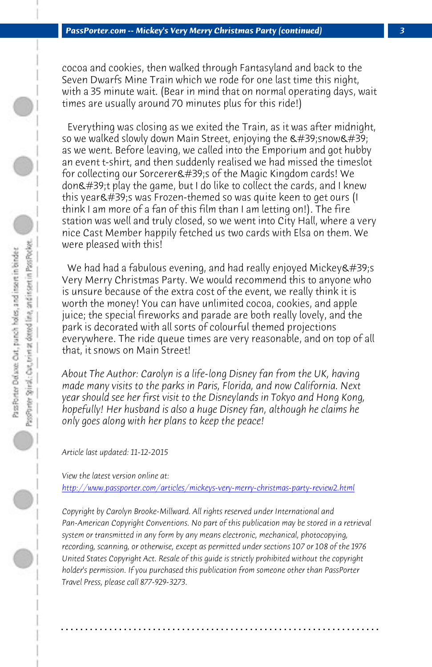*PassPorter.com -- Mickey's Very Merry Christmas Party (continued) 3*

cocoa and cookies, then walked through Fantasyland and back to the Seven Dwarfs Mine Train which we rode for one last time this night, with a 35 minute wait. (Bear in mind that on normal operating days, wait times are usually around 70 minutes plus for this ride!)

 Everything was closing as we exited the Train, as it was after midnight, so we walked slowly down Main Street, enjoying the  $\&\#39$ ; snow $&\#39$ ; as we went. Before leaving, we called into the Emporium and got hubby an event t-shirt, and then suddenly realised we had missed the timeslot for collecting our Sorcerer's of the Magic Kingdom cards! We don't play the game, but I do like to collect the cards, and I knew this year's was Frozen-themed so was quite keen to get ours (I think I am more of a fan of this film than I am letting on!). The fire station was well and truly closed, so we went into City Hall, where a very nice Cast Member happily fetched us two cards with Elsa on them. We were pleased with this!

We had had a fabulous evening, and had really enjoyed Mickey's Very Merry Christmas Party. We would recommend this to anyone who [is unsure because of the extra cost of the event, we really think it is](http://www.passporter.com/articles/mickeys-very-merry-christmas-party-review2.php) worth the money! You can have unlimited cocoa, cookies, and apple juice; the special fireworks and parade are both really lovely, and the park is decorated with all sorts of colourful themed projections everywhere. The ride queue times are very reasonable, and on top of all that, it snows on Main Street!

*About The Author: Carolyn is a life-long Disney fan from the UK, having made many visits to the parks in Paris, Florida, and now California. Next year should see her first visit to the Disneylands in Tokyo and Hong Kong, hopefully! Her husband is also a huge Disney fan, although he claims he only goes along with her plans to keep the peace!*

*Article last updated: 11-12-2015*

*View the latest version online at:* 

*http://www.passporter.com/articles/mickeys-very-merry-christmas-party-review2.html*

*Copyright by Carolyn Brooke-Millward. All rights reserved under International and Pan-American Copyright Conventions. No part of this publication may be stored in a retrieval system or transmitted in any form by any means electronic, mechanical, photocopying, recording, scanning, or otherwise, except as permitted under sections 107 or 108 of the 1976 United States Copyright Act. Resale of this guide is strictly prohibited without the copyright holder's permission. If you purchased this publication from someone other than PassPorter Travel Press, please call 877-929-3273.*

**. . . . . . . . . . . . . . . . . . . . . . . . . . . . . . . . . . . . . . . . . . . . . . . . . . . . . . . . . . . . . . . . . .**